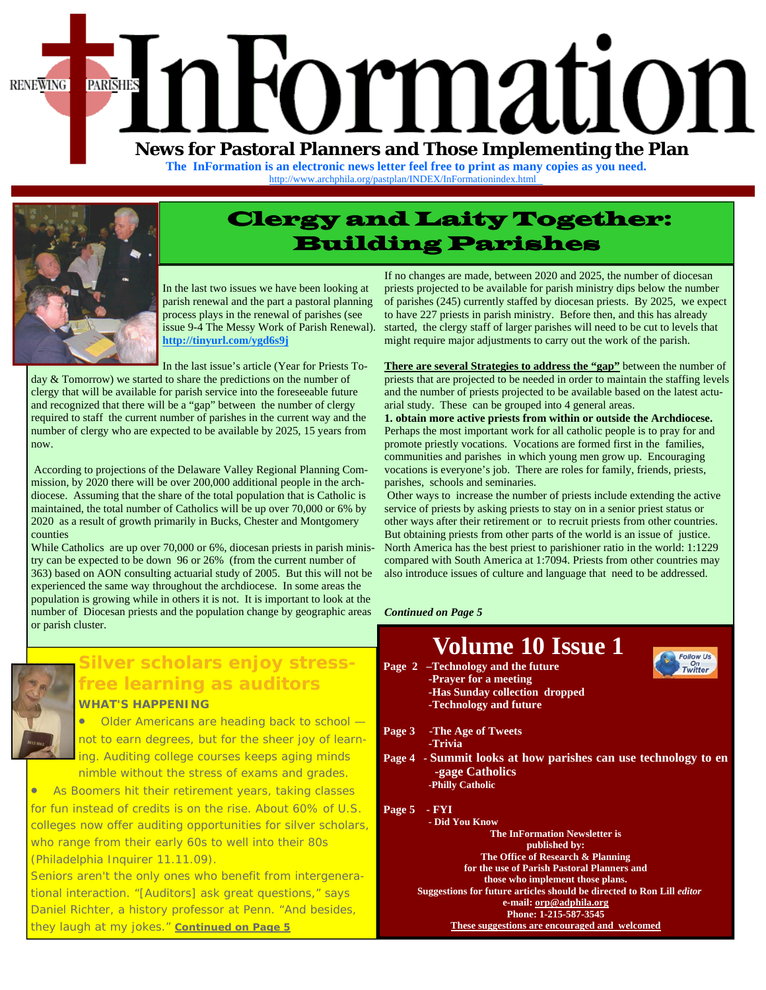### Formation PARISHES RENEWING  **News for Pastoral Planners and Those Implementing the Plan**

**The InFormation is an electronic news letter feel free to print as many copies as you need.** 

[http://www.archphila.org/pastplan/](http://archphila.org/pastplan/INDEX/InFormationindex.html)INDEX/InFormationindex.html



#### Clergy and Laity Together: Building Parishes

In the last two issues we have been looking at parish renewal and the part a pastoral planning process plays in the renewal of parishes (see issue 9-4 The Messy Work of Parish Renewal). **http://tinyurl.com/ygd6s9j**

In the last issue's article (Year for Priests Today & Tomorrow) we started to share the predictions on the number of clergy that will be available for parish service into the foreseeable future and recognized that there will be a "gap" between the number of clergy required to staff the current number of parishes in the current way and the number of clergy who are expected to be available by 2025, 15 years from now.

 According to projections of the Delaware Valley Regional Planning Commission, by 2020 there will be over 200,000 additional people in the archdiocese. Assuming that the share of the total population that is Catholic is maintained, the total number of Catholics will be up over 70,000 or 6% by 2020 as a result of growth primarily in Bucks, Chester and Montgomery counties

While Catholics are up over 70,000 or 6%, diocesan priests in parish ministry can be expected to be down 96 or 26% (from the current number of 363) based on AON consulting actuarial study of 2005. But this will not be experienced the same way throughout the archdiocese. In some areas the population is growing while in others it is not. It is important to look at the number of Diocesan priests and the population change by geographic areas or parish cluster.

If no changes are made, between 2020 and 2025, the number of diocesan priests projected to be available for parish ministry dips below the number of parishes (245) currently staffed by diocesan priests. By 2025, we expect to have 227 priests in parish ministry. Before then, and this has already started, the clergy staff of larger parishes will need to be cut to levels that might require major adjustments to carry out the work of the parish.

**There are several Strategies to address the "gap"** between the number of priests that are projected to be needed in order to maintain the staffing levels and the number of priests projected to be available based on the latest actuarial study. These can be grouped into 4 general areas.

**1. obtain more active priests from within or outside the Archdiocese.** Perhaps the most important work for all catholic people is to pray for and promote priestly vocations. Vocations are formed first in the families, communities and parishes in which young men grow up. Encouraging vocations is everyone's job. There are roles for family, friends, priests, parishes, schools and seminaries.

 Other ways to increase the number of priests include extending the active service of priests by asking priests to stay on in a senior priest status or other ways after their retirement or to recruit priests from other countries. But obtaining priests from other parts of the world is an issue of justice. North America has the best priest to parishioner ratio in the world: 1:1229 compared with South America at 1:7094. Priests from other countries may also introduce issues of culture and language that need to be addressed.

*Continued on Page 5*



#### **Silver scholars enjoy stressfree learning as auditors WHAT'S HAPPENING**

• Older Americans are heading back to school not to earn degrees, but for the sheer joy of learning. Auditing college courses keeps aging minds nimble without the stress of exams and grades.

As Boomers hit their retirement years, taking classes for fun instead of credits is on the rise. About 60% of U.S. colleges now offer auditing opportunities for silver scholars, who range from their early 60s to well into their 80s (*Philadelphia Inquirer* 11.11.09).

Seniors aren't the only ones who benefit from intergenerational interaction. "[Auditors] ask great questions," says Daniel Richter, a history professor at Penn. "And besides, they laugh at my jokes." *Continued on Page 5*

#### **Volume 10 Issue 1 Page 2 –Technology and the future**



|  | -Prayer for a meeting                                                             |
|--|-----------------------------------------------------------------------------------|
|  | -Has Sunday collection dropped                                                    |
|  | -Technology and future                                                            |
|  | Page 3 - The Age of Tweets                                                        |
|  | -Trivia                                                                           |
|  | Page 4 - Summit looks at how parishes can use technology to en<br>-gage Catholics |
|  | -Philly Catholic                                                                  |
|  | Page 5 - FYI                                                                      |
|  | - Did You Know                                                                    |
|  | <b>The InFormation Newsletter is</b>                                              |
|  | published by:                                                                     |
|  | The Office of Research & Planning                                                 |
|  | for the use of Parish Pastoral Planners and                                       |
|  | those who implement those plans.                                                  |
|  | Suggestions for future articles should be directed to Ron Lill <i>editor</i>      |
|  | e-mail: orp@adphila.org                                                           |
|  | Phone: 1-215-587-3545                                                             |

**These suggestions are encouraged and welcomed**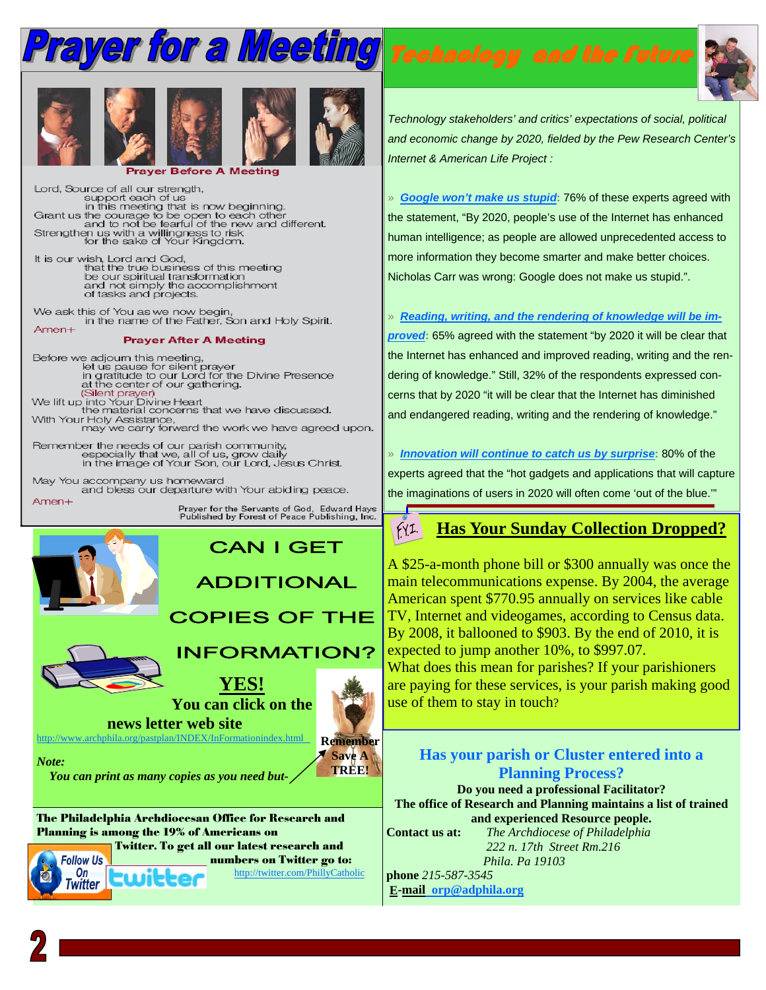# **Tayer for a Meeting rechnology and the future**





Lord, Source of all our strength,

support each of us in this meeting that is now beginning.<br>Grant us the courage to be open to each other<br>and to not be fearful of the new and different. Strengthen us with a willingness to risk<br>for the sake of Your Kingdom.

It is our wish, Lord and God, that the true business of this meeting be our spiritual transformation and not simply the accomplishment<br>of tasks and projects.

We ask this of You as we now begin,<br>in the name of the Father, Son and Holy Spirit. Amen+

#### **Prayer After A Meeting**

Before we adjourn this meeting e adjourn this meeting,<br>let us pause for silent prayer<br>in gratitude to our Lord for the Divine Presence<br>at the center of our gathering.<br>(Silent prayer) (Silent prayer)<br>We lift up into Your Divine Heart<br>the material concerns that we have discussed.

With Your Holy Assistance,<br>may we carry forward the work we have agreed upon.

Remember the needs of our parish community,<br>especially that we, all of us, grow daily<br>in the image of Your Son, our Lord, Jesus Christ.

May You accompany us homeward abcompany us homeward Amen+

Prayer for the Servants of God, Edward Hays<br>Published by Forest of Peace Publishing, Inc.

http://twitter.com/PhillyCatholic



Ωn

**Witter** 

witte

*Technology stakeholders' and critics' expectations of social, political and economic change by 2020, fielded by the Pew Research Center's* 

*Internet & American Life Project :* 

» *Google won't make us stupid***:** 76% of these experts agreed with the statement, "By 2020, people's use of the Internet has enhanced human intelligence; as people are allowed unprecedented access to more information they become smarter and make better choices. Nicholas Carr was wrong: Google does not make us stupid.".

» *Reading, writing, and the rendering of knowledge will be improved***:** 65% agreed with the statement "by 2020 it will be clear that the Internet has enhanced and improved reading, writing and the rendering of knowledge." Still, 32% of the respondents expressed concerns that by 2020 "it will be clear that the Internet has diminished and endangered reading, writing and the rendering of knowledge."

» *Innovation will continue to catch us by surprise***:** 80% of the experts agreed that the "hot gadgets and applications that will capture the imaginations of users in 2020 will often come 'out of the blue.'"

#### **Has Your Sunday Collection Dropped?**

A \$25-a-month phone bill or \$300 annually was once the main telecommunications expense. By 2004, the average American spent \$770.95 annually on services like cable TV, Internet and videogames, according to Census data. By 2008, it ballooned to \$903. By the end of 2010, it is expected to jump another 10%, to \$997.07. What does this mean for parishes? If your parishioners are paying for these services, is your parish making good use of them to stay in touch?

#### **Has your parish or Cluster entered into a Planning Process?**

**Do you need a professional Facilitator? The office of Research and Planning maintains a list of trained and experienced Resource people.** 

**Contact us at:** *The Archdiocese of Philadelphia 222 n. 17th Street Rm.216 Phila. Pa 19103* 

 $f(1)$ 

**phone** *215-587-3545* **E-mail orp@adphila.org**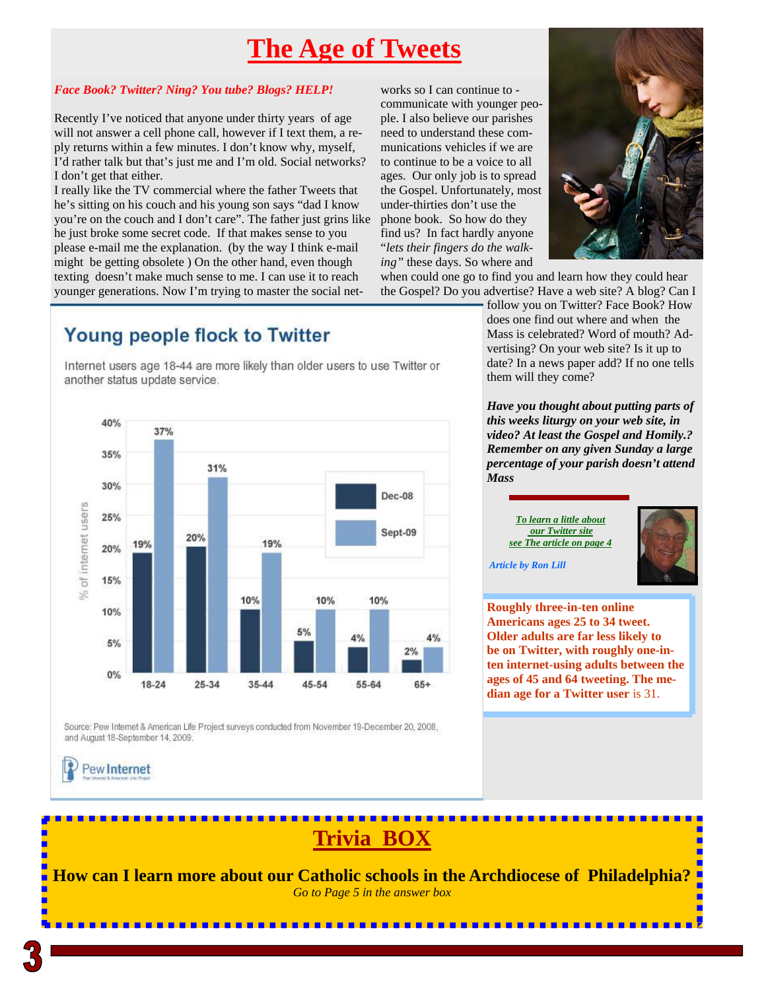#### **The Age of Tweets**

#### *Face Book? Twitter? Ning? You tube? Blogs? HELP!*

Recently I've noticed that anyone under thirty years of age will not answer a cell phone call, however if I text them, a reply returns within a few minutes. I don't know why, myself, I'd rather talk but that's just me and I'm old. Social networks? I don't get that either.

I really like the TV commercial where the father Tweets that he's sitting on his couch and his young son says "dad I know you're on the couch and I don't care". The father just grins like phone book. So how do they he just broke some secret code. If that makes sense to you please e-mail me the explanation. (by the way I think e-mail might be getting obsolete ) On the other hand, even though texting doesn't make much sense to me. I can use it to reach younger generations. Now I'm trying to master the social net-

works so I can continue to communicate with younger people. I also believe our parishes need to understand these communications vehicles if we are to continue to be a voice to all ages. Our only job is to spread the Gospel. Unfortunately, most under-thirties don't use the find us? In fact hardly anyone "*lets their fingers do the walking"* these days. So where and



when could one go to find you and learn how they could hear the Gospel? Do you advertise? Have a web site? A blog? Can I

#### **Young people flock to Twitter**

Internet users age 18-44 are more likely than older users to use Twitter or another status update service.



Source: Pew Internet & American Life Project surveys conducted from November 19-December 20, 2008, and August 18-September 14, 2009.



follow you on Twitter? Face Book? How does one find out where and when the Mass is celebrated? Word of mouth? Advertising? On your web site? Is it up to date? In a news paper add? If no one tells them will they come?

*Have you thought about putting parts of this weeks liturgy on your web site, in video? At least the Gospel and Homily.? Remember on any given Sunday a large percentage of your parish doesn't attend Mass* 



**Roughly three-in-ten online Americans ages 25 to 34 tweet. Older adults are far less likely to be on Twitter, with roughly one-inten internet-using adults between the ages of 45 and 64 tweeting. The median age for a Twitter user** is 31.



**How can I learn more about our Catholic schools in the Archdiocese of Philadelphia?**  *Go to Page 5 in the answer box*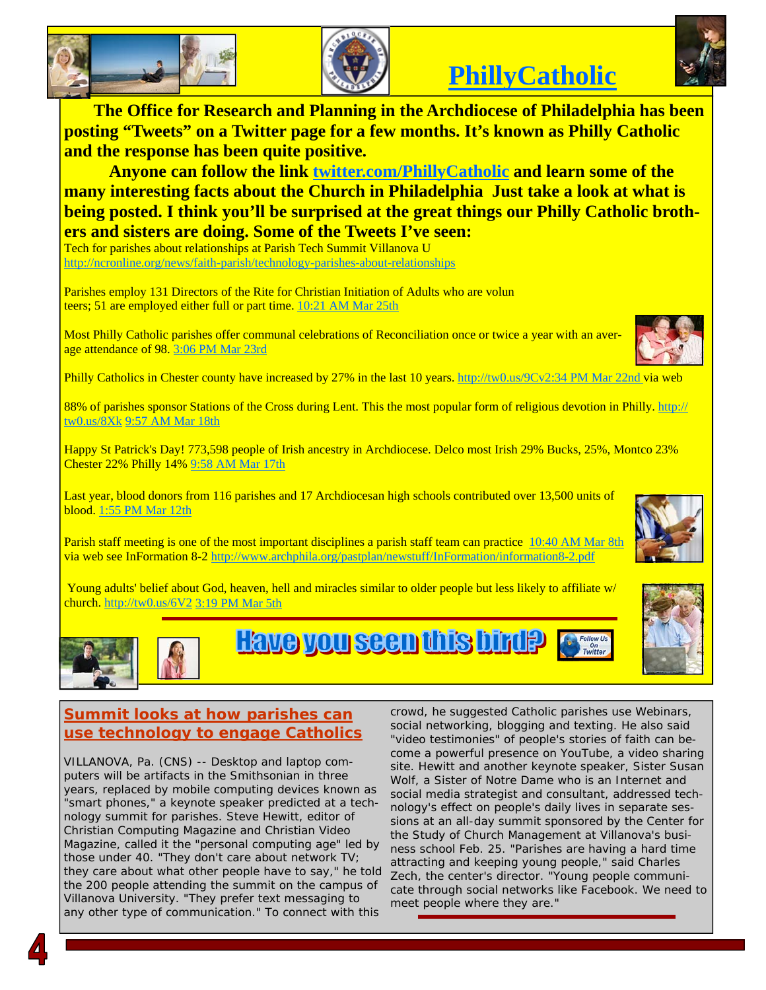



### **[PhillyCatholic](http://twitter.com/PhillyCatholic)**



**The Office for Research and Planning in the Archdiocese of Philadelphia has been posting "Tweets" on a Twitter page for a few months. It's known as Philly Catholic and the response has been quite positive.** 

 **Anyone can follow the link [twitter.com/PhillyCatholic](http://twitter.com/PhillyCatholic) and learn some of the many interesting facts about the Church in Philadelphia Just take a look at what is being posted. I think you'll be surprised at the great things our Philly Catholic brothers and sisters are doing. Some of the Tweets I've seen:** 

Tech for parishes about relationships at Parish Tech Summit Villanova U <http://ncronline.org/news/faith-parish/technology-parishes-about-relationships>

Parishes employ 131 Directors of the Rite for Christian Initiation of Adults who are volun teers; 51 are employed either full or part time. [10:21 AM Mar 25th](http://twitter.com/PhillyCatholic/status/11036129441) 

Most Philly Catholic parishes offer communal celebrations of Reconciliation once or twice a year with an average attendance of 98. 3:06 PM Mar 23rd



Philly Catholics in Chester county have increased by 27% in the last 10 years[. http://tw0.us/9Cv2:34 PM Mar 22nd v](http://twitter.com/PhillyCatholic/status/10884865360)ia web

88% of parishes sponsor Stations of the Cross during Lent. This the most popular form of religious devotion in Phill[y](http://twitter.com/PhillyCatholic/status/10672078384)[.](http://twitter.com/PhillyCatholic/status/10385055899)[http://](http://twitter.com/PhillyCatholic/status/10175601676) tw0.us/8Xk [9:57 AM Mar 18th](http://twitter.com/PhillyCatholic/status/10672078384) 

Happy St Patrick's Day! 773,598 people of Irish ancestry in Archdiocese. Delco most Irish 29% Bucks, 25%, Montco 23% Chester 22% Philly 14% [9:58 AM Mar 17th](http://twitter.com/PhillyCatholic/status/10622501911) 

Last year, blood donors from 116 parishes and 17 Archdiocesan high schools contributed over 13,500 units of blood. [1:55 PM Mar 12th](http://twitter.com/PhillyCatholic/status/10385055899) 

Parish staff meeting is one of the most important disciplines a parish staff team can practice 10:40 AM Mar 8th via web see InFormation 8-2 http://www.archphila.org/pastplan/newstuff/InFormation/information8-2.pdf



Young adults' belief about God, heaven, hell and miracles similar to older people but less likely to affiliate w/ church[. http://tw0.us/6V2](http://twitter.com/PhillyCatholic/status/10040273580) 3:19 PM Mar 5th





**Have you seen this bird?** 

#### **Summit looks at how parishes can use technology to engage Catholics**

VILLANOVA, Pa. (CNS) -- Desktop and laptop computers will be artifacts in the Smithsonian in three years, replaced by mobile computing devices known as "smart phones," a keynote speaker predicted at a technology summit for parishes. Steve Hewitt, editor of Christian Computing Magazine and Christian Video Magazine, called it the "personal computing age" led by those under 40. "They don't care about network TV; they care about what other people have to say," he told the 200 people attending the summit on the campus of Villanova University. "They prefer text messaging to any other type of communication." To connect with this

crowd, he suggested Catholic parishes use Webinars, social networking, blogging and texting. He also said "video testimonies" of people's stories of faith can become a powerful presence on YouTube, a video sharing site. Hewitt and another keynote speaker, Sister Susan Wolf, a Sister of Notre Dame who is an Internet and social media strategist and consultant, addressed technology's effect on people's daily lives in separate sessions at an all-day summit sponsored by the Center for the Study of Church Management at Villanova's business school Feb. 25. "Parishes are having a hard time attracting and keeping young people," said Charles Zech, the center's director. "Young people communicate through social networks like Facebook. We need to meet people where they are."